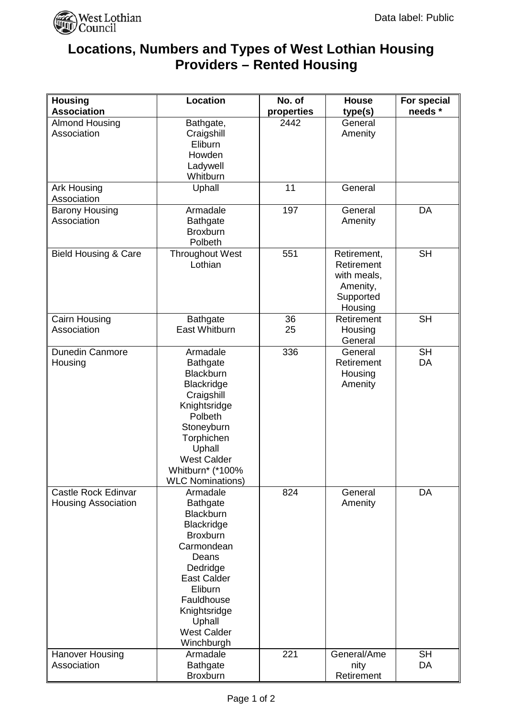

## **Locations, Numbers and Types of West Lothian Housing Providers – Rented Housing**

| <b>Housing</b>                                           | Location                                                                                                                                                                                                                                | No. of     | <b>House</b>                                                                 | For special     |
|----------------------------------------------------------|-----------------------------------------------------------------------------------------------------------------------------------------------------------------------------------------------------------------------------------------|------------|------------------------------------------------------------------------------|-----------------|
| <b>Association</b>                                       |                                                                                                                                                                                                                                         | properties | type(s)                                                                      | needs *         |
| <b>Almond Housing</b><br>Association                     | Bathgate,<br>Craigshill<br>Eliburn<br>Howden<br>Ladywell<br>Whitburn                                                                                                                                                                    | 2442       | General<br>Amenity                                                           |                 |
| <b>Ark Housing</b><br>Association                        | Uphall                                                                                                                                                                                                                                  | 11         | General                                                                      |                 |
| <b>Barony Housing</b><br>Association                     | Armadale<br><b>Bathgate</b><br><b>Broxburn</b><br>Polbeth                                                                                                                                                                               | 197        | General<br>Amenity                                                           | DA              |
| <b>Bield Housing &amp; Care</b>                          | <b>Throughout West</b><br>Lothian                                                                                                                                                                                                       | 551        | Retirement,<br>Retirement<br>with meals,<br>Amenity,<br>Supported<br>Housing | <b>SH</b>       |
| <b>Cairn Housing</b><br>Association                      | <b>Bathgate</b><br>East Whitburn                                                                                                                                                                                                        | 36<br>25   | Retirement<br>Housing<br>General                                             | <b>SH</b>       |
| Dunedin Canmore<br>Housing                               | Armadale<br><b>Bathgate</b><br>Blackburn<br><b>Blackridge</b><br>Craigshill<br>Knightsridge<br>Polbeth<br>Stoneyburn<br>Torphichen<br>Uphall<br><b>West Calder</b><br>Whitburn* (*100%<br><b>WLC Nominations)</b>                       | 336        | General<br>Retirement<br>Housing<br>Amenity                                  | <b>SH</b><br>DA |
| <b>Castle Rock Edinvar</b><br><b>Housing Association</b> | Armadale<br><b>Bathgate</b><br><b>Blackburn</b><br><b>Blackridge</b><br><b>Broxburn</b><br>Carmondean<br>Deans<br>Dedridge<br><b>East Calder</b><br>Eliburn<br>Fauldhouse<br>Knightsridge<br>Uphall<br><b>West Calder</b><br>Winchburgh | 824        | General<br>Amenity                                                           | <b>DA</b>       |
| <b>Hanover Housing</b>                                   | Armadale                                                                                                                                                                                                                                | 221        | General/Ame                                                                  | <b>SH</b>       |
| Association                                              | <b>Bathgate</b><br><b>Broxburn</b>                                                                                                                                                                                                      |            | nity<br>Retirement                                                           | DA              |